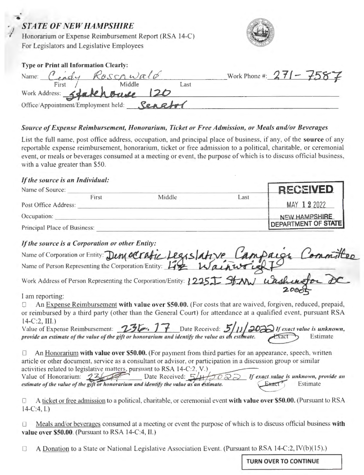### *STATE OF NEW HAMPSHIRE*

/ j

Honorarium or Expense Reimbursement Report (RSA 14-C) For Legislators and Legislative Employees



| <b>Type or Print all Information Clearly:</b>      |      |                          |
|----------------------------------------------------|------|--------------------------|
| Name: Centy Roscowald                              |      | Work Phone #: 271 - 7587 |
|                                                    | Last |                          |
| First Middle<br>Work Address: Stakehouse 120       |      |                          |
| Office/Appointment/Employment held: <b>Senetof</b> |      |                          |

#### *Source of Expense Reimbursement, Honorarium, Ticket or Free Admission, or Meals and/or Beverages*

List the full name, post office address, occupation, and principal place of business, if any, of the **source** of any reportable expense reimbursement, honorarium, ticket or free admission to a political, charitable, or ceremonial event, or meals or beverages consumed at a meeting or event, the purpose of which is to discuss official business, with a value greater than \$50.

#### **ff** *the source is an Individual:*

|        |      | <b>RECEIVED</b>            |
|--------|------|----------------------------|
| Middle | Last |                            |
|        |      | MAY 122022                 |
|        |      | NEW HAMPSHIRE              |
|        |      | <b>DEPARTMENT OF STATE</b> |
|        |      |                            |

#### *If the source is a Corporation or other Entity:*

| Principal Place of Business:                                                     | DEPARIMENT OF STATE |
|----------------------------------------------------------------------------------|---------------------|
| If the source is a Corporation or other Entity:                                  |                     |
| Name of Corporation or Entity: Dem octatic Legislative Campaign Committee        |                     |
|                                                                                  |                     |
| Work Address of Person Representing the Corporation/Entity: 1225. St. NW unshing |                     |
|                                                                                  |                     |

I am reporting:

An Expense Reimbursement with value over \$50.00. (For costs that are waived, forgiven, reduced, prepaid, or reimbursed by a third party (other than the General Court) for attendance at a qualified event, pursuant RSA<br>14-C:2, III.)<br>Value of Expense Reimbursement: 236. 17 Date Received: 5/11/2020 If exact value is unknown,

| of remoursed by a time party (biner man the Ocheral Court) for attenuance at a quantitied event, pursuant KSA                                                                                                  |  |  |
|----------------------------------------------------------------------------------------------------------------------------------------------------------------------------------------------------------------|--|--|
| $14-C:2, \Pi L$                                                                                                                                                                                                |  |  |
|                                                                                                                                                                                                                |  |  |
| 4-C:2, III.)<br>alue of Expense Reimbursement: 236. 17 Date Received: 5/11/2020 If exact value is unknown<br>provide an estimate of the value of the gift or honorarium and identify the value as an estimate. |  |  |
|                                                                                                                                                                                                                |  |  |

An Honorarium with value over \$50.00. (For payment from third parties for an appearance, speech, written article or other document, service as a consultant or advisor, or participation in a discussion group or similar activities related to legislative matters, pursuant to RSA 14-C:2, V.) An Honorarium with value over \$50.00. (For payment from third pa<br>article or other document, service as a consultant or advisor, or participati<br>activities related to legislative matters, pursuant to RSA 14-C:2, V.)<br>Value o Value of Honorarium: 236 **Figure 2014** Date Received: 54 FO estimate of the value of the gift or honorarium and identify the value as an estimate. *If exact* xact value is unknown,<br>Exact value is unknown,<br>Exact Estimat *l!ll[ue is unknown, provide an*  Estimate

'.J A ticket or free admission to a political, charitable, or ceremonial event **with value over 50.00.** (Pursuant to RSA 14-C:4, I.)

□ Meals and/or beverages consumed at a meeting or event the purpose of which is to discuss official business with **value over \$50.00.** (Pursuant to RSA 14-C:4, II.)

A Donation to a State or National Legislative Association Event. (Pursuant to RSA 14-C:2,  $\text{IV}(b)(15)$ .)  $\Box$ 

**TURN OVER TO CONTINUE**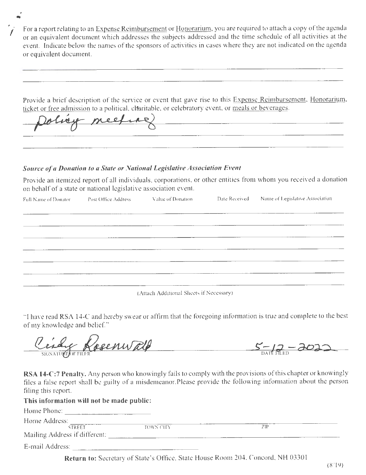For a report relating to an Expense Reimbursement or Honorarium, you are required to attach a copy of the agenda or an equi valent document which addresses the subjects addressed and the time schedule of all activities at the event. Indicate below the names of the sponsors of activities in cases where they are not indicated on the agenda or equivalent document.

Provide a brief description of the service or event that gave rise to this Expense Reimbursement, Honorarium,

ticket or free admission to a political, charitable, or celebratory event, or meals or beverages.

#### **Source of a Donation to a State or National Legislative Association Event**

Provide an itemized report of all individuals, corporations, or other entities from whom you received a donation on behalf of a state or national legislative association event.

| Full Name of Donator | Post Office Address | Value of Donation                   | Date Received Name of Legislative Association |
|----------------------|---------------------|-------------------------------------|-----------------------------------------------|
|                      |                     |                                     |                                               |
|                      |                     |                                     |                                               |
|                      |                     |                                     |                                               |
|                      |                     | <u> 1999 - Jan Samuel (f. 1989)</u> |                                               |
|                      |                     |                                     |                                               |
|                      |                     |                                     |                                               |
|                      |                     |                                     |                                               |

(Attach Additional Sheets if Necessary)

"I have read RSA 14-C and hereby swear or affirm that the foregoing information is true and complete to the best of my knowledge and belief. "

Cosenwald  $S-12-\lambda$ 

**RSA 14-C:7 Penalty.** Any person who knowingly fails to comply with the provisions of this chapter or knowingly files a false report shall be guilty of a misdemeanor.Please provide the following information about the person filing this report.

| This information will not be made public: |           |     |  |
|-------------------------------------------|-----------|-----|--|
| Home Phone:                               |           |     |  |
| Home Address:                             |           |     |  |
| STREET                                    | TOWN CITY | 7IP |  |
| Mailing Address if different:             |           |     |  |
| E-mail Address:                           |           |     |  |

Return to: Secretary of State's Office, State House Room 204, Concord, NH 03301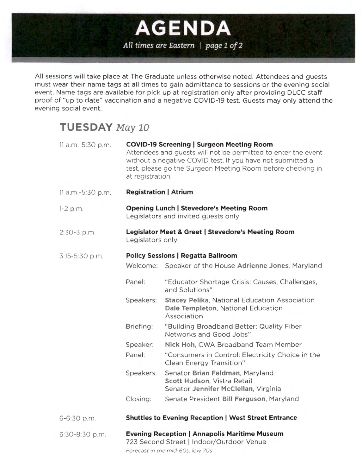## All times are Eastern | page 1 of 2

**AGENDA** 

All sessions will take place at The Graduate unless otherwise noted. Attendees and guests must wear their name tags at all times to gain admittance to sessions or the evening social event. Name tags are available for pick up at registration only after providing DLCC staff proof of "up to date" vaccination and a negative COVID-19 test. Guests may only attend the evening social event.

## **TUESDAY May 10**

| 11 a.m.-5:30 p.m. | at registration.                          | <b>COVID-19 Screening   Surgeon Meeting Room</b><br>Attendees and guests will not be permitted to enter the event<br>without a negative COVID test. If you have not submitted a<br>test, please go the Surgeon Meeting Room before checking in |  |
|-------------------|-------------------------------------------|------------------------------------------------------------------------------------------------------------------------------------------------------------------------------------------------------------------------------------------------|--|
| 11 a.m.-5:30 p.m. | <b>Registration   Atrium</b>              |                                                                                                                                                                                                                                                |  |
| $1-2$ p.m.        |                                           | <b>Opening Lunch   Stevedore's Meeting Room</b><br>Legislators and invited guests only                                                                                                                                                         |  |
| $2:30-3$ p.m.     | Legislators only                          | Legislator Meet & Greet   Stevedore's Meeting Room                                                                                                                                                                                             |  |
| 3:15-5:30 p.m.    | <b>Policy Sessions   Regatta Ballroom</b> |                                                                                                                                                                                                                                                |  |
|                   | Welcome:                                  | Speaker of the House Adrienne Jones, Maryland                                                                                                                                                                                                  |  |
|                   | Panel:                                    | "Educator Shortage Crisis: Causes, Challenges,<br>and Solutions"                                                                                                                                                                               |  |
|                   | Speakers:                                 | <b>Stacey Pelika, National Education Association</b><br>Dale Templeton, National Education<br>Association                                                                                                                                      |  |
|                   | Briefing:                                 | "Building Broadband Better: Quality Fiber<br>Networks and Good Jobs"                                                                                                                                                                           |  |
|                   | Speaker:                                  | Nick Hoh, CWA Broadband Team Member                                                                                                                                                                                                            |  |
|                   | Panel:                                    | "Consumers in Control: Electricity Choice in the<br><b>Clean Energy Transition"</b>                                                                                                                                                            |  |
|                   | Speakers:                                 | Senator Brian Feldman, Maryland<br>Scott Hudson, Vistra Retail<br>Senator Jennifer McClellan, Virginia                                                                                                                                         |  |
|                   | Closing:                                  | Senate President Bill Ferguson, Maryland                                                                                                                                                                                                       |  |
| 6-6:30 p.m.       |                                           | <b>Shuttles to Evening Reception   West Street Entrance</b>                                                                                                                                                                                    |  |
| 6:30-8:30 p.m.    |                                           | <b>Evening Reception   Annapolis Maritime Museum</b><br>723 Second Street   Indoor/Outdoor Venue<br>Forecast in the mid-60s, low 70s                                                                                                           |  |